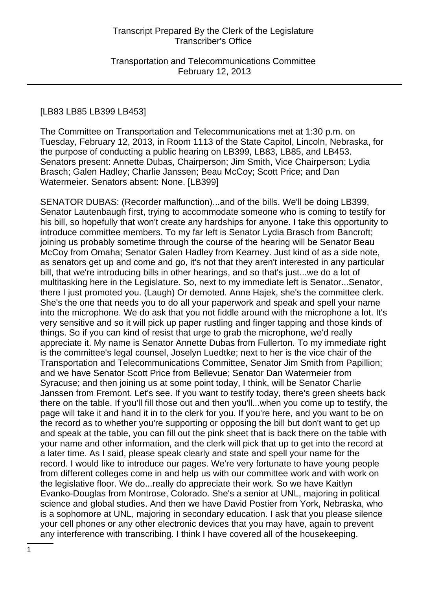#### [LB83 LB85 LB399 LB453]

The Committee on Transportation and Telecommunications met at 1:30 p.m. on Tuesday, February 12, 2013, in Room 1113 of the State Capitol, Lincoln, Nebraska, for the purpose of conducting a public hearing on LB399, LB83, LB85, and LB453. Senators present: Annette Dubas, Chairperson; Jim Smith, Vice Chairperson; Lydia Brasch; Galen Hadley; Charlie Janssen; Beau McCoy; Scott Price; and Dan Watermeier. Senators absent: None. [LB399]

SENATOR DUBAS: (Recorder malfunction)...and of the bills. We'll be doing LB399, Senator Lautenbaugh first, trying to accommodate someone who is coming to testify for his bill, so hopefully that won't create any hardships for anyone. I take this opportunity to introduce committee members. To my far left is Senator Lydia Brasch from Bancroft; joining us probably sometime through the course of the hearing will be Senator Beau McCoy from Omaha; Senator Galen Hadley from Kearney. Just kind of as a side note, as senators get up and come and go, it's not that they aren't interested in any particular bill, that we're introducing bills in other hearings, and so that's just...we do a lot of multitasking here in the Legislature. So, next to my immediate left is Senator...Senator, there I just promoted you. (Laugh) Or demoted. Anne Hajek, she's the committee clerk. She's the one that needs you to do all your paperwork and speak and spell your name into the microphone. We do ask that you not fiddle around with the microphone a lot. It's very sensitive and so it will pick up paper rustling and finger tapping and those kinds of things. So if you can kind of resist that urge to grab the microphone, we'd really appreciate it. My name is Senator Annette Dubas from Fullerton. To my immediate right is the committee's legal counsel, Joselyn Luedtke; next to her is the vice chair of the Transportation and Telecommunications Committee, Senator Jim Smith from Papillion; and we have Senator Scott Price from Bellevue; Senator Dan Watermeier from Syracuse; and then joining us at some point today, I think, will be Senator Charlie Janssen from Fremont. Let's see. If you want to testify today, there's green sheets back there on the table. If you'll fill those out and then you'll...when you come up to testify, the page will take it and hand it in to the clerk for you. If you're here, and you want to be on the record as to whether you're supporting or opposing the bill but don't want to get up and speak at the table, you can fill out the pink sheet that is back there on the table with your name and other information, and the clerk will pick that up to get into the record at a later time. As I said, please speak clearly and state and spell your name for the record. I would like to introduce our pages. We're very fortunate to have young people from different colleges come in and help us with our committee work and with work on the legislative floor. We do...really do appreciate their work. So we have Kaitlyn Evanko-Douglas from Montrose, Colorado. She's a senior at UNL, majoring in political science and global studies. And then we have David Postier from York, Nebraska, who is a sophomore at UNL, majoring in secondary education. I ask that you please silence your cell phones or any other electronic devices that you may have, again to prevent any interference with transcribing. I think I have covered all of the housekeeping.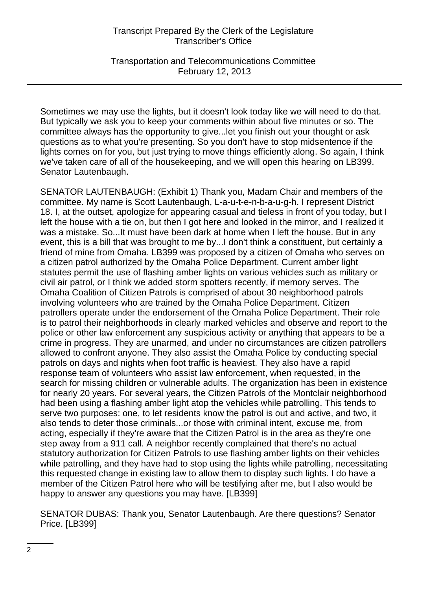Transportation and Telecommunications Committee February 12, 2013

Sometimes we may use the lights, but it doesn't look today like we will need to do that. But typically we ask you to keep your comments within about five minutes or so. The committee always has the opportunity to give...let you finish out your thought or ask questions as to what you're presenting. So you don't have to stop midsentence if the lights comes on for you, but just trying to move things efficiently along. So again, I think we've taken care of all of the housekeeping, and we will open this hearing on LB399. Senator Lautenbaugh.

SENATOR LAUTENBAUGH: (Exhibit 1) Thank you, Madam Chair and members of the committee. My name is Scott Lautenbaugh, L-a-u-t-e-n-b-a-u-g-h. I represent District 18. I, at the outset, apologize for appearing casual and tieless in front of you today, but I left the house with a tie on, but then I got here and looked in the mirror, and I realized it was a mistake. So...It must have been dark at home when I left the house. But in any event, this is a bill that was brought to me by...I don't think a constituent, but certainly a friend of mine from Omaha. LB399 was proposed by a citizen of Omaha who serves on a citizen patrol authorized by the Omaha Police Department. Current amber light statutes permit the use of flashing amber lights on various vehicles such as military or civil air patrol, or I think we added storm spotters recently, if memory serves. The Omaha Coalition of Citizen Patrols is comprised of about 30 neighborhood patrols involving volunteers who are trained by the Omaha Police Department. Citizen patrollers operate under the endorsement of the Omaha Police Department. Their role is to patrol their neighborhoods in clearly marked vehicles and observe and report to the police or other law enforcement any suspicious activity or anything that appears to be a crime in progress. They are unarmed, and under no circumstances are citizen patrollers allowed to confront anyone. They also assist the Omaha Police by conducting special patrols on days and nights when foot traffic is heaviest. They also have a rapid response team of volunteers who assist law enforcement, when requested, in the search for missing children or vulnerable adults. The organization has been in existence for nearly 20 years. For several years, the Citizen Patrols of the Montclair neighborhood had been using a flashing amber light atop the vehicles while patrolling. This tends to serve two purposes: one, to let residents know the patrol is out and active, and two, it also tends to deter those criminals...or those with criminal intent, excuse me, from acting, especially if they're aware that the Citizen Patrol is in the area as they're one step away from a 911 call. A neighbor recently complained that there's no actual statutory authorization for Citizen Patrols to use flashing amber lights on their vehicles while patrolling, and they have had to stop using the lights while patrolling, necessitating this requested change in existing law to allow them to display such lights. I do have a member of the Citizen Patrol here who will be testifying after me, but I also would be happy to answer any questions you may have. [LB399]

SENATOR DUBAS: Thank you, Senator Lautenbaugh. Are there questions? Senator Price. [LB399]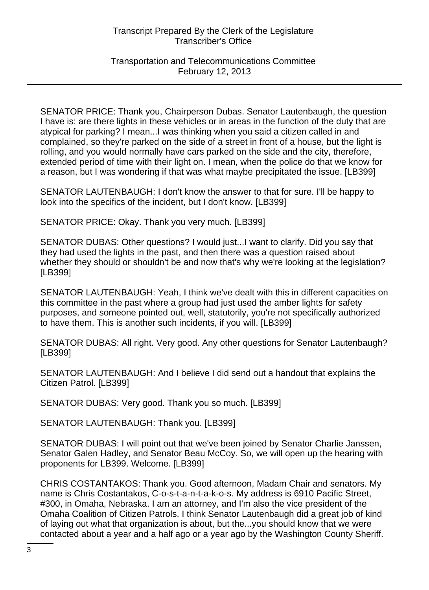Transportation and Telecommunications Committee February 12, 2013

SENATOR PRICE: Thank you, Chairperson Dubas. Senator Lautenbaugh, the question I have is: are there lights in these vehicles or in areas in the function of the duty that are atypical for parking? I mean...I was thinking when you said a citizen called in and complained, so they're parked on the side of a street in front of a house, but the light is rolling, and you would normally have cars parked on the side and the city, therefore, extended period of time with their light on. I mean, when the police do that we know for a reason, but I was wondering if that was what maybe precipitated the issue. [LB399]

SENATOR LAUTENBAUGH: I don't know the answer to that for sure. I'll be happy to look into the specifics of the incident, but I don't know. [LB399]

SENATOR PRICE: Okay. Thank you very much. [LB399]

SENATOR DUBAS: Other questions? I would just...I want to clarify. Did you say that they had used the lights in the past, and then there was a question raised about whether they should or shouldn't be and now that's why we're looking at the legislation? [LB399]

SENATOR LAUTENBAUGH: Yeah, I think we've dealt with this in different capacities on this committee in the past where a group had just used the amber lights for safety purposes, and someone pointed out, well, statutorily, you're not specifically authorized to have them. This is another such incidents, if you will. [LB399]

SENATOR DUBAS: All right. Very good. Any other questions for Senator Lautenbaugh? [LB399]

SENATOR LAUTENBAUGH: And I believe I did send out a handout that explains the Citizen Patrol. [LB399]

SENATOR DUBAS: Very good. Thank you so much. [LB399]

SENATOR LAUTENBAUGH: Thank you. [LB399]

SENATOR DUBAS: I will point out that we've been joined by Senator Charlie Janssen, Senator Galen Hadley, and Senator Beau McCoy. So, we will open up the hearing with proponents for LB399. Welcome. [LB399]

CHRIS COSTANTAKOS: Thank you. Good afternoon, Madam Chair and senators. My name is Chris Costantakos, C-o-s-t-a-n-t-a-k-o-s. My address is 6910 Pacific Street, #300, in Omaha, Nebraska. I am an attorney, and I'm also the vice president of the Omaha Coalition of Citizen Patrols. I think Senator Lautenbaugh did a great job of kind of laying out what that organization is about, but the...you should know that we were contacted about a year and a half ago or a year ago by the Washington County Sheriff.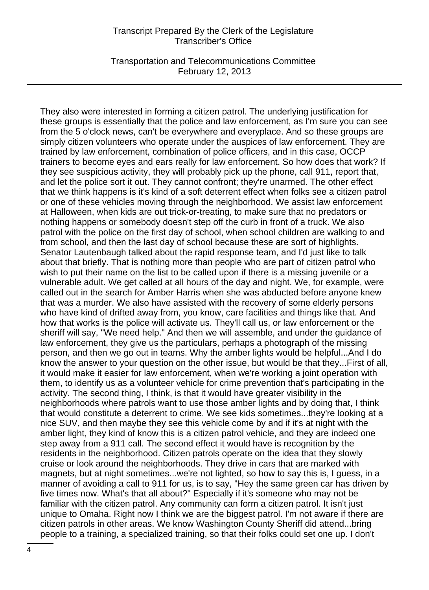Transportation and Telecommunications Committee February 12, 2013

They also were interested in forming a citizen patrol. The underlying justification for these groups is essentially that the police and law enforcement, as I'm sure you can see from the 5 o'clock news, can't be everywhere and everyplace. And so these groups are simply citizen volunteers who operate under the auspices of law enforcement. They are trained by law enforcement, combination of police officers, and in this case, OCCP trainers to become eyes and ears really for law enforcement. So how does that work? If they see suspicious activity, they will probably pick up the phone, call 911, report that, and let the police sort it out. They cannot confront; they're unarmed. The other effect that we think happens is it's kind of a soft deterrent effect when folks see a citizen patrol or one of these vehicles moving through the neighborhood. We assist law enforcement at Halloween, when kids are out trick-or-treating, to make sure that no predators or nothing happens or somebody doesn't step off the curb in front of a truck. We also patrol with the police on the first day of school, when school children are walking to and from school, and then the last day of school because these are sort of highlights. Senator Lautenbaugh talked about the rapid response team, and I'd just like to talk about that briefly. That is nothing more than people who are part of citizen patrol who wish to put their name on the list to be called upon if there is a missing juvenile or a vulnerable adult. We get called at all hours of the day and night. We, for example, were called out in the search for Amber Harris when she was abducted before anyone knew that was a murder. We also have assisted with the recovery of some elderly persons who have kind of drifted away from, you know, care facilities and things like that. And how that works is the police will activate us. They'll call us, or law enforcement or the sheriff will say, "We need help." And then we will assemble, and under the guidance of law enforcement, they give us the particulars, perhaps a photograph of the missing person, and then we go out in teams. Why the amber lights would be helpful...And I do know the answer to your question on the other issue, but would be that they...First of all, it would make it easier for law enforcement, when we're working a joint operation with them, to identify us as a volunteer vehicle for crime prevention that's participating in the activity. The second thing, I think, is that it would have greater visibility in the neighborhoods where patrols want to use those amber lights and by doing that, I think that would constitute a deterrent to crime. We see kids sometimes...they're looking at a nice SUV, and then maybe they see this vehicle come by and if it's at night with the amber light, they kind of know this is a citizen patrol vehicle, and they are indeed one step away from a 911 call. The second effect it would have is recognition by the residents in the neighborhood. Citizen patrols operate on the idea that they slowly cruise or look around the neighborhoods. They drive in cars that are marked with magnets, but at night sometimes...we're not lighted, so how to say this is, I guess, in a manner of avoiding a call to 911 for us, is to say, "Hey the same green car has driven by five times now. What's that all about?" Especially if it's someone who may not be familiar with the citizen patrol. Any community can form a citizen patrol. It isn't just unique to Omaha. Right now I think we are the biggest patrol. I'm not aware if there are citizen patrols in other areas. We know Washington County Sheriff did attend...bring people to a training, a specialized training, so that their folks could set one up. I don't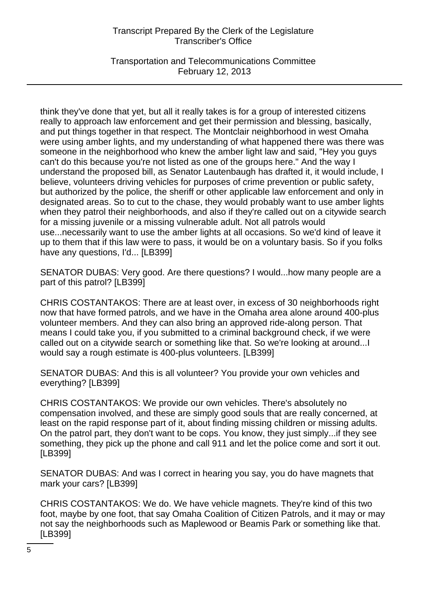Transportation and Telecommunications Committee February 12, 2013

think they've done that yet, but all it really takes is for a group of interested citizens really to approach law enforcement and get their permission and blessing, basically, and put things together in that respect. The Montclair neighborhood in west Omaha were using amber lights, and my understanding of what happened there was there was someone in the neighborhood who knew the amber light law and said, "Hey you guys can't do this because you're not listed as one of the groups here." And the way I understand the proposed bill, as Senator Lautenbaugh has drafted it, it would include, I believe, volunteers driving vehicles for purposes of crime prevention or public safety, but authorized by the police, the sheriff or other applicable law enforcement and only in designated areas. So to cut to the chase, they would probably want to use amber lights when they patrol their neighborhoods, and also if they're called out on a citywide search for a missing juvenile or a missing vulnerable adult. Not all patrols would use...necessarily want to use the amber lights at all occasions. So we'd kind of leave it up to them that if this law were to pass, it would be on a voluntary basis. So if you folks have any questions, I'd... [LB399]

SENATOR DUBAS: Very good. Are there questions? I would...how many people are a part of this patrol? [LB399]

CHRIS COSTANTAKOS: There are at least over, in excess of 30 neighborhoods right now that have formed patrols, and we have in the Omaha area alone around 400-plus volunteer members. And they can also bring an approved ride-along person. That means I could take you, if you submitted to a criminal background check, if we were called out on a citywide search or something like that. So we're looking at around...I would say a rough estimate is 400-plus volunteers. [LB399]

SENATOR DUBAS: And this is all volunteer? You provide your own vehicles and everything? [LB399]

CHRIS COSTANTAKOS: We provide our own vehicles. There's absolutely no compensation involved, and these are simply good souls that are really concerned, at least on the rapid response part of it, about finding missing children or missing adults. On the patrol part, they don't want to be cops. You know, they just simply...if they see something, they pick up the phone and call 911 and let the police come and sort it out. [LB399]

SENATOR DUBAS: And was I correct in hearing you say, you do have magnets that mark your cars? [LB399]

CHRIS COSTANTAKOS: We do. We have vehicle magnets. They're kind of this two foot, maybe by one foot, that say Omaha Coalition of Citizen Patrols, and it may or may not say the neighborhoods such as Maplewood or Beamis Park or something like that. [LB399]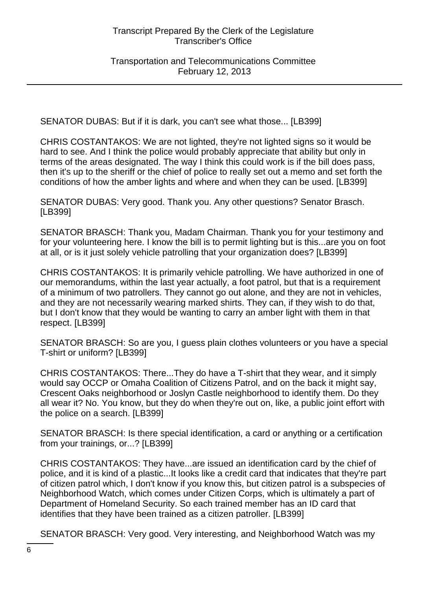SENATOR DUBAS: But if it is dark, you can't see what those... [LB399]

CHRIS COSTANTAKOS: We are not lighted, they're not lighted signs so it would be hard to see. And I think the police would probably appreciate that ability but only in terms of the areas designated. The way I think this could work is if the bill does pass, then it's up to the sheriff or the chief of police to really set out a memo and set forth the conditions of how the amber lights and where and when they can be used. [LB399]

SENATOR DUBAS: Very good. Thank you. Any other questions? Senator Brasch. [LB399]

SENATOR BRASCH: Thank you, Madam Chairman. Thank you for your testimony and for your volunteering here. I know the bill is to permit lighting but is this...are you on foot at all, or is it just solely vehicle patrolling that your organization does? [LB399]

CHRIS COSTANTAKOS: It is primarily vehicle patrolling. We have authorized in one of our memorandums, within the last year actually, a foot patrol, but that is a requirement of a minimum of two patrollers. They cannot go out alone, and they are not in vehicles, and they are not necessarily wearing marked shirts. They can, if they wish to do that, but I don't know that they would be wanting to carry an amber light with them in that respect. [LB399]

SENATOR BRASCH: So are you, I guess plain clothes volunteers or you have a special T-shirt or uniform? [LB399]

CHRIS COSTANTAKOS: There...They do have a T-shirt that they wear, and it simply would say OCCP or Omaha Coalition of Citizens Patrol, and on the back it might say, Crescent Oaks neighborhood or Joslyn Castle neighborhood to identify them. Do they all wear it? No. You know, but they do when they're out on, like, a public joint effort with the police on a search. [LB399]

SENATOR BRASCH: Is there special identification, a card or anything or a certification from your trainings, or...? [LB399]

CHRIS COSTANTAKOS: They have...are issued an identification card by the chief of police, and it is kind of a plastic...It looks like a credit card that indicates that they're part of citizen patrol which, I don't know if you know this, but citizen patrol is a subspecies of Neighborhood Watch, which comes under Citizen Corps, which is ultimately a part of Department of Homeland Security. So each trained member has an ID card that identifies that they have been trained as a citizen patroller. [LB399]

SENATOR BRASCH: Very good. Very interesting, and Neighborhood Watch was my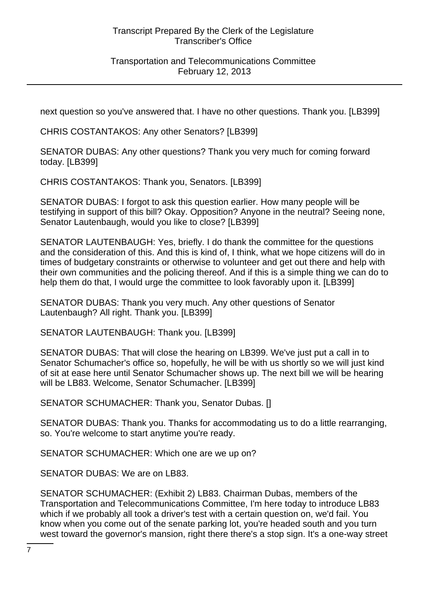## Transportation and Telecommunications Committee February 12, 2013

next question so you've answered that. I have no other questions. Thank you. [LB399]

CHRIS COSTANTAKOS: Any other Senators? [LB399]

SENATOR DUBAS: Any other questions? Thank you very much for coming forward today. [LB399]

CHRIS COSTANTAKOS: Thank you, Senators. [LB399]

SENATOR DUBAS: I forgot to ask this question earlier. How many people will be testifying in support of this bill? Okay. Opposition? Anyone in the neutral? Seeing none, Senator Lautenbaugh, would you like to close? [LB399]

SENATOR LAUTENBAUGH: Yes, briefly. I do thank the committee for the questions and the consideration of this. And this is kind of, I think, what we hope citizens will do in times of budgetary constraints or otherwise to volunteer and get out there and help with their own communities and the policing thereof. And if this is a simple thing we can do to help them do that, I would urge the committee to look favorably upon it. [LB399]

SENATOR DUBAS: Thank you very much. Any other questions of Senator Lautenbaugh? All right. Thank you. [LB399]

SENATOR LAUTENBAUGH: Thank you. [LB399]

SENATOR DUBAS: That will close the hearing on LB399. We've just put a call in to Senator Schumacher's office so, hopefully, he will be with us shortly so we will just kind of sit at ease here until Senator Schumacher shows up. The next bill we will be hearing will be LB83. Welcome, Senator Schumacher. [LB399]

SENATOR SCHUMACHER: Thank you, Senator Dubas. []

SENATOR DUBAS: Thank you. Thanks for accommodating us to do a little rearranging, so. You're welcome to start anytime you're ready.

SENATOR SCHUMACHER: Which one are we up on?

SENATOR DUBAS: We are on LB83.

SENATOR SCHUMACHER: (Exhibit 2) LB83. Chairman Dubas, members of the Transportation and Telecommunications Committee, I'm here today to introduce LB83 which if we probably all took a driver's test with a certain question on, we'd fail. You know when you come out of the senate parking lot, you're headed south and you turn west toward the governor's mansion, right there there's a stop sign. It's a one-way street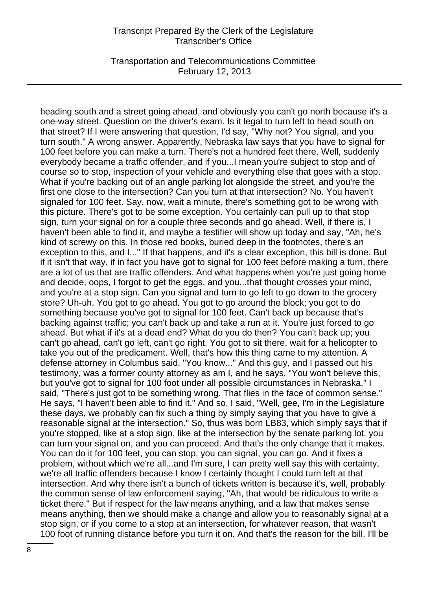Transportation and Telecommunications Committee February 12, 2013

heading south and a street going ahead, and obviously you can't go north because it's a one-way street. Question on the driver's exam. Is it legal to turn left to head south on that street? If I were answering that question, I'd say, "Why not? You signal, and you turn south." A wrong answer. Apparently, Nebraska law says that you have to signal for 100 feet before you can make a turn. There's not a hundred feet there. Well, suddenly everybody became a traffic offender, and if you...I mean you're subject to stop and of course so to stop, inspection of your vehicle and everything else that goes with a stop. What if you're backing out of an angle parking lot alongside the street, and you're the first one close to the intersection? Can you turn at that intersection? No. You haven't signaled for 100 feet. Say, now, wait a minute, there's something got to be wrong with this picture. There's got to be some exception. You certainly can pull up to that stop sign, turn your signal on for a couple three seconds and go ahead. Well, if there is, I haven't been able to find it, and maybe a testifier will show up today and say, "Ah, he's kind of screwy on this. In those red books, buried deep in the footnotes, there's an exception to this, and I..." If that happens, and it's a clear exception, this bill is done. But if it isn't that way, if in fact you have got to signal for 100 feet before making a turn, there are a lot of us that are traffic offenders. And what happens when you're just going home and decide, oops, I forgot to get the eggs, and you...that thought crosses your mind, and you're at a stop sign. Can you signal and turn to go left to go down to the grocery store? Uh-uh. You got to go ahead. You got to go around the block; you got to do something because you've got to signal for 100 feet. Can't back up because that's backing against traffic; you can't back up and take a run at it. You're just forced to go ahead. But what if it's at a dead end? What do you do then? You can't back up; you can't go ahead, can't go left, can't go right. You got to sit there, wait for a helicopter to take you out of the predicament. Well, that's how this thing came to my attention. A defense attorney in Columbus said, "You know..." And this guy, and I passed out his testimony, was a former county attorney as am I, and he says, "You won't believe this, but you've got to signal for 100 foot under all possible circumstances in Nebraska." I said, "There's just got to be something wrong. That flies in the face of common sense." He says, "I haven't been able to find it." And so, I said, "Well, gee, I'm in the Legislature these days, we probably can fix such a thing by simply saying that you have to give a reasonable signal at the intersection." So, thus was born LB83, which simply says that if you're stopped, like at a stop sign, like at the intersection by the senate parking lot, you can turn your signal on, and you can proceed. And that's the only change that it makes. You can do it for 100 feet, you can stop, you can signal, you can go. And it fixes a problem, without which we're all...and I'm sure, I can pretty well say this with certainty, we're all traffic offenders because I know I certainly thought I could turn left at that intersection. And why there isn't a bunch of tickets written is because it's, well, probably the common sense of law enforcement saying, "Ah, that would be ridiculous to write a ticket there." But if respect for the law means anything, and a law that makes sense means anything, then we should make a change and allow you to reasonably signal at a stop sign, or if you come to a stop at an intersection, for whatever reason, that wasn't 100 foot of running distance before you turn it on. And that's the reason for the bill. I'll be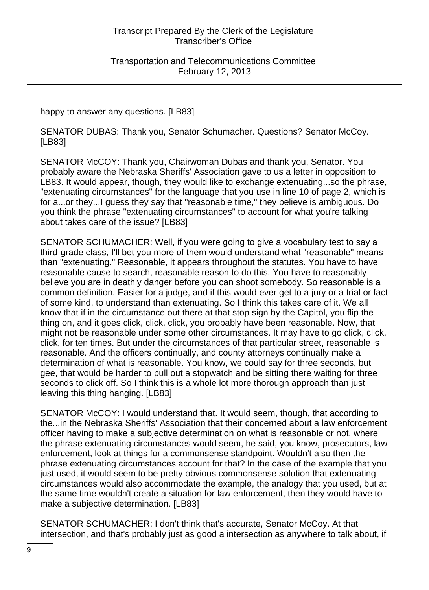happy to answer any questions. [LB83]

SENATOR DUBAS: Thank you, Senator Schumacher. Questions? Senator McCoy. [LB83]

SENATOR McCOY: Thank you, Chairwoman Dubas and thank you, Senator. You probably aware the Nebraska Sheriffs' Association gave to us a letter in opposition to LB83. It would appear, though, they would like to exchange extenuating...so the phrase, "extenuating circumstances" for the language that you use in line 10 of page 2, which is for a...or they...I guess they say that "reasonable time," they believe is ambiguous. Do you think the phrase "extenuating circumstances" to account for what you're talking about takes care of the issue? [LB83]

SENATOR SCHUMACHER: Well, if you were going to give a vocabulary test to say a third-grade class, I'll bet you more of them would understand what "reasonable" means than "extenuating." Reasonable, it appears throughout the statutes. You have to have reasonable cause to search, reasonable reason to do this. You have to reasonably believe you are in deathly danger before you can shoot somebody. So reasonable is a common definition. Easier for a judge, and if this would ever get to a jury or a trial or fact of some kind, to understand than extenuating. So I think this takes care of it. We all know that if in the circumstance out there at that stop sign by the Capitol, you flip the thing on, and it goes click, click, click, you probably have been reasonable. Now, that might not be reasonable under some other circumstances. It may have to go click, click, click, for ten times. But under the circumstances of that particular street, reasonable is reasonable. And the officers continually, and county attorneys continually make a determination of what is reasonable. You know, we could say for three seconds, but gee, that would be harder to pull out a stopwatch and be sitting there waiting for three seconds to click off. So I think this is a whole lot more thorough approach than just leaving this thing hanging. [LB83]

SENATOR McCOY: I would understand that. It would seem, though, that according to the...in the Nebraska Sheriffs' Association that their concerned about a law enforcement officer having to make a subjective determination on what is reasonable or not, where the phrase extenuating circumstances would seem, he said, you know, prosecutors, law enforcement, look at things for a commonsense standpoint. Wouldn't also then the phrase extenuating circumstances account for that? In the case of the example that you just used, it would seem to be pretty obvious commonsense solution that extenuating circumstances would also accommodate the example, the analogy that you used, but at the same time wouldn't create a situation for law enforcement, then they would have to make a subjective determination. [LB83]

SENATOR SCHUMACHER: I don't think that's accurate, Senator McCoy. At that intersection, and that's probably just as good a intersection as anywhere to talk about, if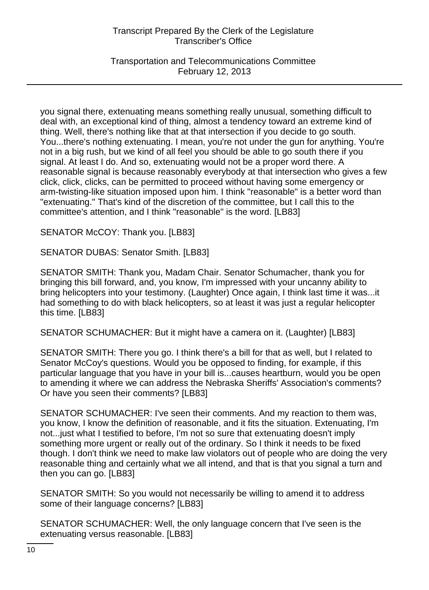Transportation and Telecommunications Committee February 12, 2013

you signal there, extenuating means something really unusual, something difficult to deal with, an exceptional kind of thing, almost a tendency toward an extreme kind of thing. Well, there's nothing like that at that intersection if you decide to go south. You...there's nothing extenuating. I mean, you're not under the gun for anything. You're not in a big rush, but we kind of all feel you should be able to go south there if you signal. At least I do. And so, extenuating would not be a proper word there. A reasonable signal is because reasonably everybody at that intersection who gives a few click, click, clicks, can be permitted to proceed without having some emergency or arm-twisting-like situation imposed upon him. I think "reasonable" is a better word than "extenuating." That's kind of the discretion of the committee, but I call this to the committee's attention, and I think "reasonable" is the word. [LB83]

SENATOR McCOY: Thank you. [LB83]

SENATOR DUBAS: Senator Smith. [LB83]

SENATOR SMITH: Thank you, Madam Chair. Senator Schumacher, thank you for bringing this bill forward, and, you know, I'm impressed with your uncanny ability to bring helicopters into your testimony. (Laughter) Once again, I think last time it was...it had something to do with black helicopters, so at least it was just a regular helicopter this time. [LB83]

SENATOR SCHUMACHER: But it might have a camera on it. (Laughter) [LB83]

SENATOR SMITH: There you go. I think there's a bill for that as well, but I related to Senator McCoy's questions. Would you be opposed to finding, for example, if this particular language that you have in your bill is...causes heartburn, would you be open to amending it where we can address the Nebraska Sheriffs' Association's comments? Or have you seen their comments? [LB83]

SENATOR SCHUMACHER: I've seen their comments. And my reaction to them was, you know, I know the definition of reasonable, and it fits the situation. Extenuating, I'm not...just what I testified to before, I'm not so sure that extenuating doesn't imply something more urgent or really out of the ordinary. So I think it needs to be fixed though. I don't think we need to make law violators out of people who are doing the very reasonable thing and certainly what we all intend, and that is that you signal a turn and then you can go. [LB83]

SENATOR SMITH: So you would not necessarily be willing to amend it to address some of their language concerns? [LB83]

SENATOR SCHUMACHER: Well, the only language concern that I've seen is the extenuating versus reasonable. [LB83]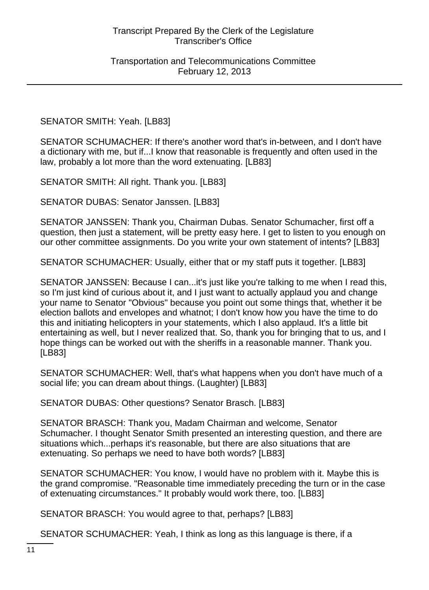#### SENATOR SMITH: Yeah. [LB83]

SENATOR SCHUMACHER: If there's another word that's in-between, and I don't have a dictionary with me, but if...I know that reasonable is frequently and often used in the law, probably a lot more than the word extenuating. [LB83]

SENATOR SMITH: All right. Thank you. [LB83]

SENATOR DUBAS: Senator Janssen. [LB83]

SENATOR JANSSEN: Thank you, Chairman Dubas. Senator Schumacher, first off a question, then just a statement, will be pretty easy here. I get to listen to you enough on our other committee assignments. Do you write your own statement of intents? [LB83]

SENATOR SCHUMACHER: Usually, either that or my staff puts it together. [LB83]

SENATOR JANSSEN: Because I can...it's just like you're talking to me when I read this, so I'm just kind of curious about it, and I just want to actually applaud you and change your name to Senator "Obvious" because you point out some things that, whether it be election ballots and envelopes and whatnot; I don't know how you have the time to do this and initiating helicopters in your statements, which I also applaud. It's a little bit entertaining as well, but I never realized that. So, thank you for bringing that to us, and I hope things can be worked out with the sheriffs in a reasonable manner. Thank you. [LB83]

SENATOR SCHUMACHER: Well, that's what happens when you don't have much of a social life; you can dream about things. (Laughter) [LB83]

SENATOR DUBAS: Other questions? Senator Brasch. [LB83]

SENATOR BRASCH: Thank you, Madam Chairman and welcome, Senator Schumacher. I thought Senator Smith presented an interesting question, and there are situations which...perhaps it's reasonable, but there are also situations that are extenuating. So perhaps we need to have both words? [LB83]

SENATOR SCHUMACHER: You know, I would have no problem with it. Maybe this is the grand compromise. "Reasonable time immediately preceding the turn or in the case of extenuating circumstances." It probably would work there, too. [LB83]

SENATOR BRASCH: You would agree to that, perhaps? [LB83]

SENATOR SCHUMACHER: Yeah, I think as long as this language is there, if a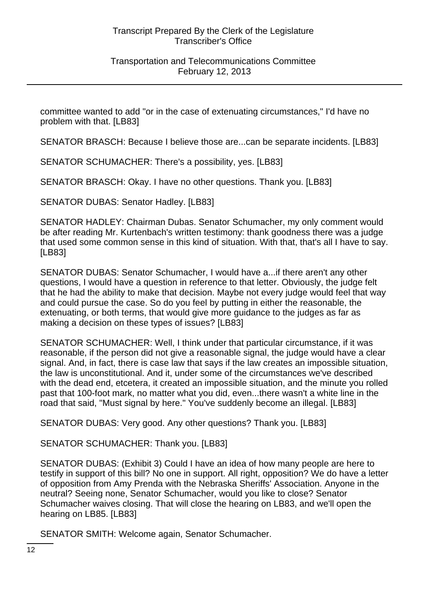committee wanted to add "or in the case of extenuating circumstances," I'd have no problem with that. [LB83]

SENATOR BRASCH: Because I believe those are...can be separate incidents. [LB83]

SENATOR SCHUMACHER: There's a possibility, yes. [LB83]

SENATOR BRASCH: Okay. I have no other questions. Thank you. [LB83]

SENATOR DUBAS: Senator Hadley. [LB83]

SENATOR HADLEY: Chairman Dubas. Senator Schumacher, my only comment would be after reading Mr. Kurtenbach's written testimony: thank goodness there was a judge that used some common sense in this kind of situation. With that, that's all I have to say. [LB83]

SENATOR DUBAS: Senator Schumacher, I would have a...if there aren't any other questions, I would have a question in reference to that letter. Obviously, the judge felt that he had the ability to make that decision. Maybe not every judge would feel that way and could pursue the case. So do you feel by putting in either the reasonable, the extenuating, or both terms, that would give more guidance to the judges as far as making a decision on these types of issues? [LB83]

SENATOR SCHUMACHER: Well, I think under that particular circumstance, if it was reasonable, if the person did not give a reasonable signal, the judge would have a clear signal. And, in fact, there is case law that says if the law creates an impossible situation, the law is unconstitutional. And it, under some of the circumstances we've described with the dead end, etcetera, it created an impossible situation, and the minute you rolled past that 100-foot mark, no matter what you did, even...there wasn't a white line in the road that said, "Must signal by here." You've suddenly become an illegal. [LB83]

SENATOR DUBAS: Very good. Any other questions? Thank you. [LB83]

SENATOR SCHUMACHER: Thank you. [LB83]

SENATOR DUBAS: (Exhibit 3) Could I have an idea of how many people are here to testify in support of this bill? No one in support. All right, opposition? We do have a letter of opposition from Amy Prenda with the Nebraska Sheriffs' Association. Anyone in the neutral? Seeing none, Senator Schumacher, would you like to close? Senator Schumacher waives closing. That will close the hearing on LB83, and we'll open the hearing on LB85. [LB83]

SENATOR SMITH: Welcome again, Senator Schumacher.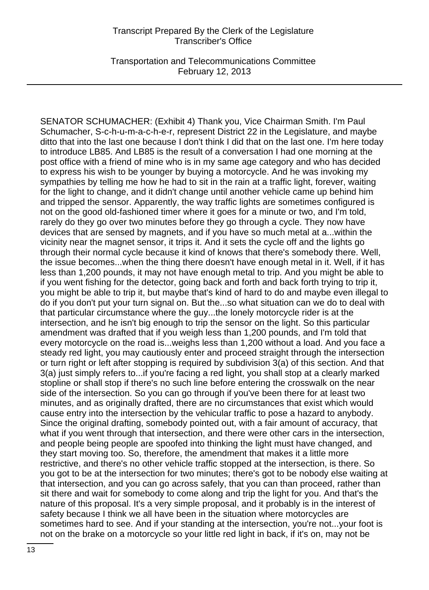Transportation and Telecommunications Committee February 12, 2013

SENATOR SCHUMACHER: (Exhibit 4) Thank you, Vice Chairman Smith. I'm Paul Schumacher, S-c-h-u-m-a-c-h-e-r, represent District 22 in the Legislature, and maybe ditto that into the last one because I don't think I did that on the last one. I'm here today to introduce LB85. And LB85 is the result of a conversation I had one morning at the post office with a friend of mine who is in my same age category and who has decided to express his wish to be younger by buying a motorcycle. And he was invoking my sympathies by telling me how he had to sit in the rain at a traffic light, forever, waiting for the light to change, and it didn't change until another vehicle came up behind him and tripped the sensor. Apparently, the way traffic lights are sometimes configured is not on the good old-fashioned timer where it goes for a minute or two, and I'm told, rarely do they go over two minutes before they go through a cycle. They now have devices that are sensed by magnets, and if you have so much metal at a...within the vicinity near the magnet sensor, it trips it. And it sets the cycle off and the lights go through their normal cycle because it kind of knows that there's somebody there. Well, the issue becomes...when the thing there doesn't have enough metal in it. Well, if it has less than 1,200 pounds, it may not have enough metal to trip. And you might be able to if you went fishing for the detector, going back and forth and back forth trying to trip it, you might be able to trip it, but maybe that's kind of hard to do and maybe even illegal to do if you don't put your turn signal on. But the...so what situation can we do to deal with that particular circumstance where the guy...the lonely motorcycle rider is at the intersection, and he isn't big enough to trip the sensor on the light. So this particular amendment was drafted that if you weigh less than 1,200 pounds, and I'm told that every motorcycle on the road is...weighs less than 1,200 without a load. And you face a steady red light, you may cautiously enter and proceed straight through the intersection or turn right or left after stopping is required by subdivision 3(a) of this section. And that 3(a) just simply refers to...if you're facing a red light, you shall stop at a clearly marked stopline or shall stop if there's no such line before entering the crosswalk on the near side of the intersection. So you can go through if you've been there for at least two minutes, and as originally drafted, there are no circumstances that exist which would cause entry into the intersection by the vehicular traffic to pose a hazard to anybody. Since the original drafting, somebody pointed out, with a fair amount of accuracy, that what if you went through that intersection, and there were other cars in the intersection, and people being people are spoofed into thinking the light must have changed, and they start moving too. So, therefore, the amendment that makes it a little more restrictive, and there's no other vehicle traffic stopped at the intersection, is there. So you got to be at the intersection for two minutes; there's got to be nobody else waiting at that intersection, and you can go across safely, that you can than proceed, rather than sit there and wait for somebody to come along and trip the light for you. And that's the nature of this proposal. It's a very simple proposal, and it probably is in the interest of safety because I think we all have been in the situation where motorcycles are sometimes hard to see. And if your standing at the intersection, you're not...your foot is not on the brake on a motorcycle so your little red light in back, if it's on, may not be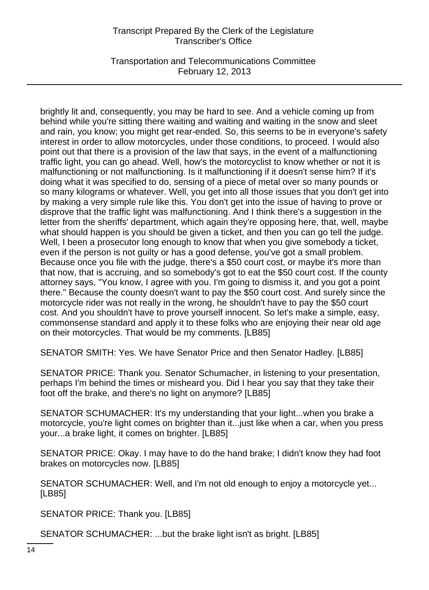Transportation and Telecommunications Committee February 12, 2013

brightly lit and, consequently, you may be hard to see. And a vehicle coming up from behind while you're sitting there waiting and waiting and waiting in the snow and sleet and rain, you know; you might get rear-ended. So, this seems to be in everyone's safety interest in order to allow motorcycles, under those conditions, to proceed. I would also point out that there is a provision of the law that says, in the event of a malfunctioning traffic light, you can go ahead. Well, how's the motorcyclist to know whether or not it is malfunctioning or not malfunctioning. Is it malfunctioning if it doesn't sense him? If it's doing what it was specified to do, sensing of a piece of metal over so many pounds or so many kilograms or whatever. Well, you get into all those issues that you don't get into by making a very simple rule like this. You don't get into the issue of having to prove or disprove that the traffic light was malfunctioning. And I think there's a suggestion in the letter from the sheriffs' department, which again they're opposing here, that, well, maybe what should happen is you should be given a ticket, and then you can go tell the judge. Well, I been a prosecutor long enough to know that when you give somebody a ticket, even if the person is not guilty or has a good defense, you've got a small problem. Because once you file with the judge, there's a \$50 court cost, or maybe it's more than that now, that is accruing, and so somebody's got to eat the \$50 court cost. If the county attorney says, "You know, I agree with you. I'm going to dismiss it, and you got a point there." Because the county doesn't want to pay the \$50 court cost. And surely since the motorcycle rider was not really in the wrong, he shouldn't have to pay the \$50 court cost. And you shouldn't have to prove yourself innocent. So let's make a simple, easy, commonsense standard and apply it to these folks who are enjoying their near old age on their motorcycles. That would be my comments. [LB85]

SENATOR SMITH: Yes. We have Senator Price and then Senator Hadley. [LB85]

SENATOR PRICE: Thank you. Senator Schumacher, in listening to your presentation, perhaps I'm behind the times or misheard you. Did I hear you say that they take their foot off the brake, and there's no light on anymore? [LB85]

SENATOR SCHUMACHER: It's my understanding that your light...when you brake a motorcycle, you're light comes on brighter than it...just like when a car, when you press your...a brake light, it comes on brighter. [LB85]

SENATOR PRICE: Okay. I may have to do the hand brake; I didn't know they had foot brakes on motorcycles now. [LB85]

SENATOR SCHUMACHER: Well, and I'm not old enough to enjoy a motorcycle yet... [LB85]

SENATOR PRICE: Thank you. [LB85]

SENATOR SCHUMACHER: ...but the brake light isn't as bright. [LB85]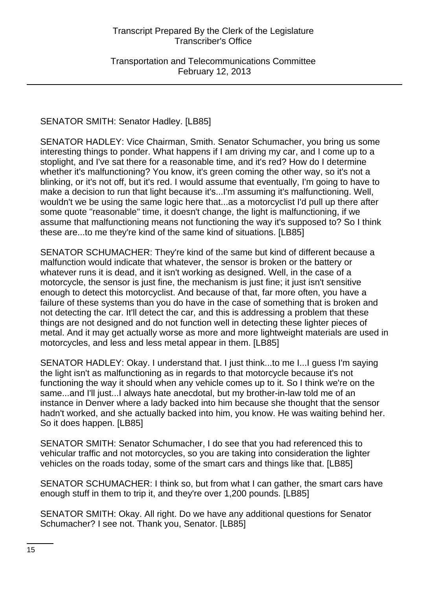Transportation and Telecommunications Committee February 12, 2013

#### SENATOR SMITH: Senator Hadley. [LB85]

SENATOR HADLEY: Vice Chairman, Smith. Senator Schumacher, you bring us some interesting things to ponder. What happens if I am driving my car, and I come up to a stoplight, and I've sat there for a reasonable time, and it's red? How do I determine whether it's malfunctioning? You know, it's green coming the other way, so it's not a blinking, or it's not off, but it's red. I would assume that eventually, I'm going to have to make a decision to run that light because it's...I'm assuming it's malfunctioning. Well, wouldn't we be using the same logic here that...as a motorcyclist I'd pull up there after some quote "reasonable" time, it doesn't change, the light is malfunctioning, if we assume that malfunctioning means not functioning the way it's supposed to? So I think these are...to me they're kind of the same kind of situations. [LB85]

SENATOR SCHUMACHER: They're kind of the same but kind of different because a malfunction would indicate that whatever, the sensor is broken or the battery or whatever runs it is dead, and it isn't working as designed. Well, in the case of a motorcycle, the sensor is just fine, the mechanism is just fine; it just isn't sensitive enough to detect this motorcyclist. And because of that, far more often, you have a failure of these systems than you do have in the case of something that is broken and not detecting the car. It'll detect the car, and this is addressing a problem that these things are not designed and do not function well in detecting these lighter pieces of metal. And it may get actually worse as more and more lightweight materials are used in motorcycles, and less and less metal appear in them. [LB85]

SENATOR HADLEY: Okay. I understand that. I just think...to me I...I guess I'm saying the light isn't as malfunctioning as in regards to that motorcycle because it's not functioning the way it should when any vehicle comes up to it. So I think we're on the same...and I'll just...I always hate anecdotal, but my brother-in-law told me of an instance in Denver where a lady backed into him because she thought that the sensor hadn't worked, and she actually backed into him, you know. He was waiting behind her. So it does happen. [LB85]

SENATOR SMITH: Senator Schumacher, I do see that you had referenced this to vehicular traffic and not motorcycles, so you are taking into consideration the lighter vehicles on the roads today, some of the smart cars and things like that. [LB85]

SENATOR SCHUMACHER: I think so, but from what I can gather, the smart cars have enough stuff in them to trip it, and they're over 1,200 pounds. [LB85]

SENATOR SMITH: Okay. All right. Do we have any additional questions for Senator Schumacher? I see not. Thank you, Senator. [LB85]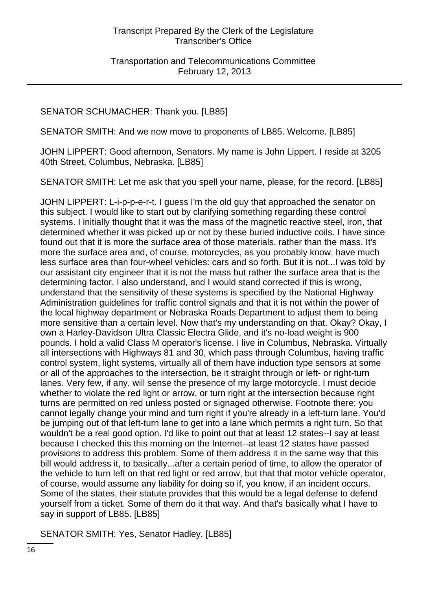# SENATOR SCHUMACHER: Thank you. [LB85]

SENATOR SMITH: And we now move to proponents of LB85. Welcome. [LB85]

JOHN LIPPERT: Good afternoon, Senators. My name is John Lippert. I reside at 3205 40th Street, Columbus, Nebraska. [LB85]

SENATOR SMITH: Let me ask that you spell your name, please, for the record. [LB85]

JOHN LIPPERT: L-i-p-p-e-r-t. I guess I'm the old guy that approached the senator on this subject. I would like to start out by clarifying something regarding these control systems. I initially thought that it was the mass of the magnetic reactive steel, iron, that determined whether it was picked up or not by these buried inductive coils. I have since found out that it is more the surface area of those materials, rather than the mass. It's more the surface area and, of course, motorcycles, as you probably know, have much less surface area than four-wheel vehicles: cars and so forth. But it is not...I was told by our assistant city engineer that it is not the mass but rather the surface area that is the determining factor. I also understand, and I would stand corrected if this is wrong, understand that the sensitivity of these systems is specified by the National Highway Administration guidelines for traffic control signals and that it is not within the power of the local highway department or Nebraska Roads Department to adjust them to being more sensitive than a certain level. Now that's my understanding on that. Okay? Okay, I own a Harley-Davidson Ultra Classic Electra Glide, and it's no-load weight is 900 pounds. I hold a valid Class M operator's license. I live in Columbus, Nebraska. Virtually all intersections with Highways 81 and 30, which pass through Columbus, having traffic control system, light systems, virtually all of them have induction type sensors at some or all of the approaches to the intersection, be it straight through or left- or right-turn lanes. Very few, if any, will sense the presence of my large motorcycle. I must decide whether to violate the red light or arrow, or turn right at the intersection because right turns are permitted on red unless posted or signaged otherwise. Footnote there: you cannot legally change your mind and turn right if you're already in a left-turn lane. You'd be jumping out of that left-turn lane to get into a lane which permits a right turn. So that wouldn't be a real good option. I'd like to point out that at least 12 states--I say at least because I checked this this morning on the Internet--at least 12 states have passed provisions to address this problem. Some of them address it in the same way that this bill would address it, to basically...after a certain period of time, to allow the operator of the vehicle to turn left on that red light or red arrow, but that that motor vehicle operator, of course, would assume any liability for doing so if, you know, if an incident occurs. Some of the states, their statute provides that this would be a legal defense to defend yourself from a ticket. Some of them do it that way. And that's basically what I have to say in support of LB85. [LB85]

SENATOR SMITH: Yes, Senator Hadley. [LB85]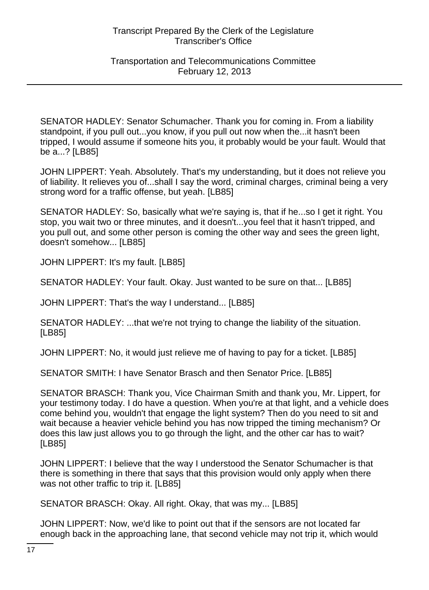SENATOR HADLEY: Senator Schumacher. Thank you for coming in. From a liability standpoint, if you pull out...you know, if you pull out now when the...it hasn't been tripped, I would assume if someone hits you, it probably would be your fault. Would that be a...? [LB85]

JOHN LIPPERT: Yeah. Absolutely. That's my understanding, but it does not relieve you of liability. It relieves you of...shall I say the word, criminal charges, criminal being a very strong word for a traffic offense, but yeah. [LB85]

SENATOR HADLEY: So, basically what we're saying is, that if he...so I get it right. You stop, you wait two or three minutes, and it doesn't...you feel that it hasn't tripped, and you pull out, and some other person is coming the other way and sees the green light, doesn't somehow... [LB85]

JOHN LIPPERT: It's my fault. [LB85]

SENATOR HADLEY: Your fault. Okay. Just wanted to be sure on that... [LB85]

JOHN LIPPERT: That's the way I understand... [LB85]

SENATOR HADLEY: ...that we're not trying to change the liability of the situation. [LB85]

JOHN LIPPERT: No, it would just relieve me of having to pay for a ticket. [LB85]

SENATOR SMITH: I have Senator Brasch and then Senator Price. [LB85]

SENATOR BRASCH: Thank you, Vice Chairman Smith and thank you, Mr. Lippert, for your testimony today. I do have a question. When you're at that light, and a vehicle does come behind you, wouldn't that engage the light system? Then do you need to sit and wait because a heavier vehicle behind you has now tripped the timing mechanism? Or does this law just allows you to go through the light, and the other car has to wait? [LB85]

JOHN LIPPERT: I believe that the way I understood the Senator Schumacher is that there is something in there that says that this provision would only apply when there was not other traffic to trip it. [LB85]

SENATOR BRASCH: Okay. All right. Okay, that was my... [LB85]

JOHN LIPPERT: Now, we'd like to point out that if the sensors are not located far enough back in the approaching lane, that second vehicle may not trip it, which would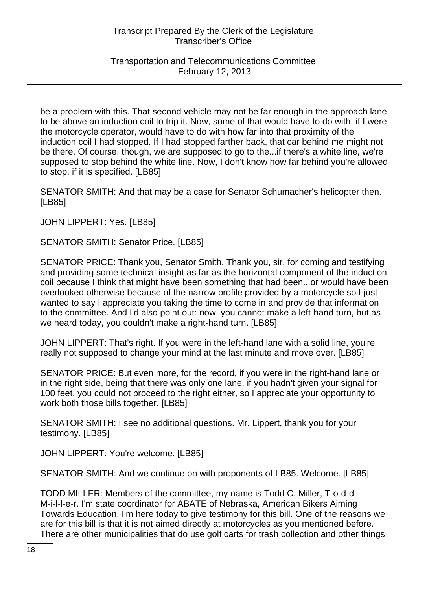Transportation and Telecommunications Committee February 12, 2013

be a problem with this. That second vehicle may not be far enough in the approach lane to be above an induction coil to trip it. Now, some of that would have to do with, if I were the motorcycle operator, would have to do with how far into that proximity of the induction coil I had stopped. If I had stopped farther back, that car behind me might not be there. Of course, though, we are supposed to go to the...if there's a white line, we're supposed to stop behind the white line. Now, I don't know how far behind you're allowed to stop, if it is specified. [LB85]

SENATOR SMITH: And that may be a case for Senator Schumacher's helicopter then. [LB85]

JOHN LIPPERT: Yes. [LB85]

SENATOR SMITH: Senator Price. [LB85]

SENATOR PRICE: Thank you, Senator Smith. Thank you, sir, for coming and testifying and providing some technical insight as far as the horizontal component of the induction coil because I think that might have been something that had been...or would have been overlooked otherwise because of the narrow profile provided by a motorcycle so I just wanted to say I appreciate you taking the time to come in and provide that information to the committee. And I'd also point out: now, you cannot make a left-hand turn, but as we heard today, you couldn't make a right-hand turn. [LB85]

JOHN LIPPERT: That's right. If you were in the left-hand lane with a solid line, you're really not supposed to change your mind at the last minute and move over. [LB85]

SENATOR PRICE: But even more, for the record, if you were in the right-hand lane or in the right side, being that there was only one lane, if you hadn't given your signal for 100 feet, you could not proceed to the right either, so I appreciate your opportunity to work both those bills together. [LB85]

SENATOR SMITH: I see no additional questions. Mr. Lippert, thank you for your testimony. [LB85]

JOHN LIPPERT: You're welcome. [LB85]

SENATOR SMITH: And we continue on with proponents of LB85. Welcome. [LB85]

TODD MILLER: Members of the committee, my name is Todd C. Miller, T-o-d-d M-i-l-l-e-r. I'm state coordinator for ABATE of Nebraska, American Bikers Aiming Towards Education. I'm here today to give testimony for this bill. One of the reasons we are for this bill is that it is not aimed directly at motorcycles as you mentioned before. There are other municipalities that do use golf carts for trash collection and other things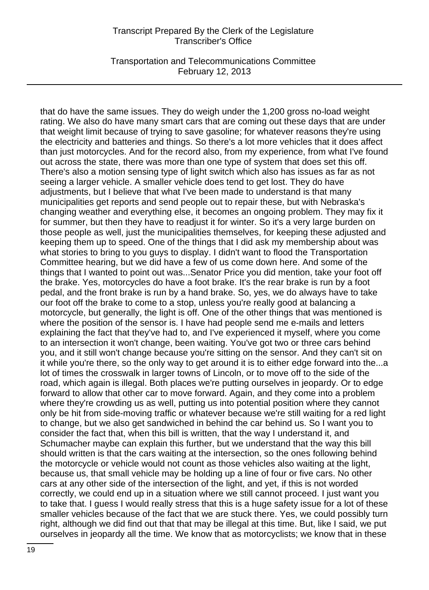Transportation and Telecommunications Committee February 12, 2013

that do have the same issues. They do weigh under the 1,200 gross no-load weight rating. We also do have many smart cars that are coming out these days that are under that weight limit because of trying to save gasoline; for whatever reasons they're using the electricity and batteries and things. So there's a lot more vehicles that it does affect than just motorcycles. And for the record also, from my experience, from what I've found out across the state, there was more than one type of system that does set this off. There's also a motion sensing type of light switch which also has issues as far as not seeing a larger vehicle. A smaller vehicle does tend to get lost. They do have adjustments, but I believe that what I've been made to understand is that many municipalities get reports and send people out to repair these, but with Nebraska's changing weather and everything else, it becomes an ongoing problem. They may fix it for summer, but then they have to readjust it for winter. So it's a very large burden on those people as well, just the municipalities themselves, for keeping these adjusted and keeping them up to speed. One of the things that I did ask my membership about was what stories to bring to you guys to display. I didn't want to flood the Transportation Committee hearing, but we did have a few of us come down here. And some of the things that I wanted to point out was...Senator Price you did mention, take your foot off the brake. Yes, motorcycles do have a foot brake. It's the rear brake is run by a foot pedal, and the front brake is run by a hand brake. So, yes, we do always have to take our foot off the brake to come to a stop, unless you're really good at balancing a motorcycle, but generally, the light is off. One of the other things that was mentioned is where the position of the sensor is. I have had people send me e-mails and letters explaining the fact that they've had to, and I've experienced it myself, where you come to an intersection it won't change, been waiting. You've got two or three cars behind you, and it still won't change because you're sitting on the sensor. And they can't sit on it while you're there, so the only way to get around it is to either edge forward into the...a lot of times the crosswalk in larger towns of Lincoln, or to move off to the side of the road, which again is illegal. Both places we're putting ourselves in jeopardy. Or to edge forward to allow that other car to move forward. Again, and they come into a problem where they're crowding us as well, putting us into potential position where they cannot only be hit from side-moving traffic or whatever because we're still waiting for a red light to change, but we also get sandwiched in behind the car behind us. So I want you to consider the fact that, when this bill is written, that the way I understand it, and Schumacher maybe can explain this further, but we understand that the way this bill should written is that the cars waiting at the intersection, so the ones following behind the motorcycle or vehicle would not count as those vehicles also waiting at the light, because us, that small vehicle may be holding up a line of four or five cars. No other cars at any other side of the intersection of the light, and yet, if this is not worded correctly, we could end up in a situation where we still cannot proceed. I just want you to take that. I guess I would really stress that this is a huge safety issue for a lot of these smaller vehicles because of the fact that we are stuck there. Yes, we could possibly turn right, although we did find out that that may be illegal at this time. But, like I said, we put ourselves in jeopardy all the time. We know that as motorcyclists; we know that in these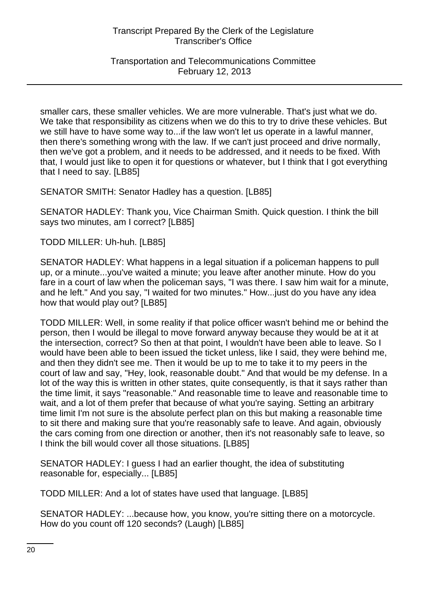Transportation and Telecommunications Committee February 12, 2013

smaller cars, these smaller vehicles. We are more vulnerable. That's just what we do. We take that responsibility as citizens when we do this to try to drive these vehicles. But we still have to have some way to...if the law won't let us operate in a lawful manner, then there's something wrong with the law. If we can't just proceed and drive normally, then we've got a problem, and it needs to be addressed, and it needs to be fixed. With that, I would just like to open it for questions or whatever, but I think that I got everything that I need to say. [LB85]

SENATOR SMITH: Senator Hadley has a question. [LB85]

SENATOR HADLEY: Thank you, Vice Chairman Smith. Quick question. I think the bill says two minutes, am I correct? [LB85]

TODD MILLER: Uh-huh. [LB85]

SENATOR HADLEY: What happens in a legal situation if a policeman happens to pull up, or a minute...you've waited a minute; you leave after another minute. How do you fare in a court of law when the policeman says, "I was there. I saw him wait for a minute, and he left." And you say, "I waited for two minutes." How...just do you have any idea how that would play out? [LB85]

TODD MILLER: Well, in some reality if that police officer wasn't behind me or behind the person, then I would be illegal to move forward anyway because they would be at it at the intersection, correct? So then at that point, I wouldn't have been able to leave. So I would have been able to been issued the ticket unless, like I said, they were behind me, and then they didn't see me. Then it would be up to me to take it to my peers in the court of law and say, "Hey, look, reasonable doubt." And that would be my defense. In a lot of the way this is written in other states, quite consequently, is that it says rather than the time limit, it says "reasonable." And reasonable time to leave and reasonable time to wait, and a lot of them prefer that because of what you're saying. Setting an arbitrary time limit I'm not sure is the absolute perfect plan on this but making a reasonable time to sit there and making sure that you're reasonably safe to leave. And again, obviously the cars coming from one direction or another, then it's not reasonably safe to leave, so I think the bill would cover all those situations. [LB85]

SENATOR HADLEY: I guess I had an earlier thought, the idea of substituting reasonable for, especially... [LB85]

TODD MILLER: And a lot of states have used that language. [LB85]

SENATOR HADLEY: ...because how, you know, you're sitting there on a motorcycle. How do you count off 120 seconds? (Laugh) [LB85]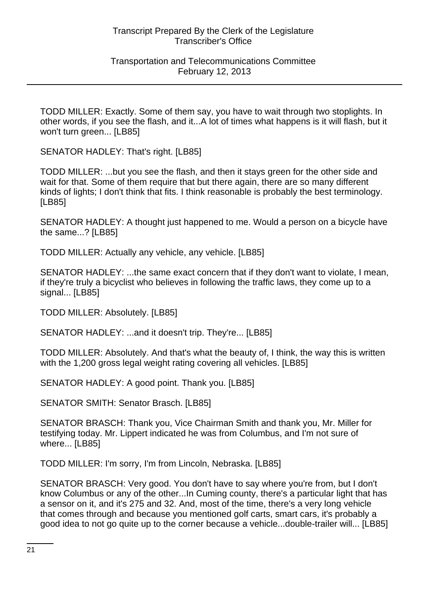TODD MILLER: Exactly. Some of them say, you have to wait through two stoplights. In other words, if you see the flash, and it...A lot of times what happens is it will flash, but it won't turn green... [LB85]

SENATOR HADLEY: That's right. [LB85]

TODD MILLER: ...but you see the flash, and then it stays green for the other side and wait for that. Some of them require that but there again, there are so many different kinds of lights; I don't think that fits. I think reasonable is probably the best terminology. [LB85]

SENATOR HADLEY: A thought just happened to me. Would a person on a bicycle have the same...? [LB85]

TODD MILLER: Actually any vehicle, any vehicle. [LB85]

SENATOR HADLEY: ...the same exact concern that if they don't want to violate, I mean, if they're truly a bicyclist who believes in following the traffic laws, they come up to a signal... [LB85]

TODD MILLER: Absolutely. [LB85]

SENATOR HADLEY: ...and it doesn't trip. They're... [LB85]

TODD MILLER: Absolutely. And that's what the beauty of, I think, the way this is written with the 1,200 gross legal weight rating covering all vehicles. [LB85]

SENATOR HADLEY: A good point. Thank you. [LB85]

SENATOR SMITH: Senator Brasch. [LB85]

SENATOR BRASCH: Thank you, Vice Chairman Smith and thank you, Mr. Miller for testifying today. Mr. Lippert indicated he was from Columbus, and I'm not sure of where... [LB85]

TODD MILLER: I'm sorry, I'm from Lincoln, Nebraska. [LB85]

SENATOR BRASCH: Very good. You don't have to say where you're from, but I don't know Columbus or any of the other...In Cuming county, there's a particular light that has a sensor on it, and it's 275 and 32. And, most of the time, there's a very long vehicle that comes through and because you mentioned golf carts, smart cars, it's probably a good idea to not go quite up to the corner because a vehicle...double-trailer will... [LB85]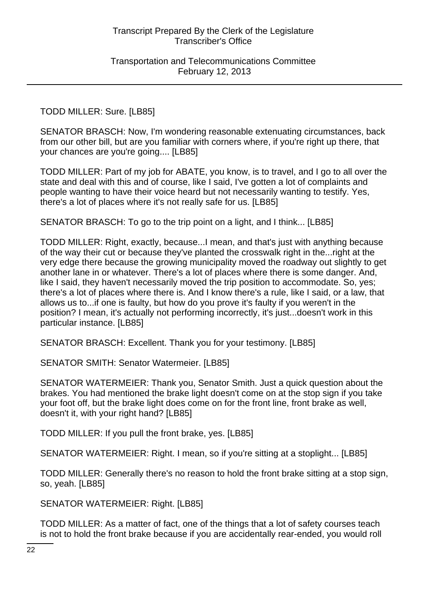## TODD MILLER: Sure. [LB85]

SENATOR BRASCH: Now, I'm wondering reasonable extenuating circumstances, back from our other bill, but are you familiar with corners where, if you're right up there, that your chances are you're going.... [LB85]

TODD MILLER: Part of my job for ABATE, you know, is to travel, and I go to all over the state and deal with this and of course, like I said, I've gotten a lot of complaints and people wanting to have their voice heard but not necessarily wanting to testify. Yes, there's a lot of places where it's not really safe for us. [LB85]

SENATOR BRASCH: To go to the trip point on a light, and I think... [LB85]

TODD MILLER: Right, exactly, because...I mean, and that's just with anything because of the way their cut or because they've planted the crosswalk right in the...right at the very edge there because the growing municipality moved the roadway out slightly to get another lane in or whatever. There's a lot of places where there is some danger. And, like I said, they haven't necessarily moved the trip position to accommodate. So, yes; there's a lot of places where there is. And I know there's a rule, like I said, or a law, that allows us to...if one is faulty, but how do you prove it's faulty if you weren't in the position? I mean, it's actually not performing incorrectly, it's just...doesn't work in this particular instance. [LB85]

SENATOR BRASCH: Excellent. Thank you for your testimony. [LB85]

SENATOR SMITH: Senator Watermeier. [LB85]

SENATOR WATERMEIER: Thank you, Senator Smith. Just a quick question about the brakes. You had mentioned the brake light doesn't come on at the stop sign if you take your foot off, but the brake light does come on for the front line, front brake as well, doesn't it, with your right hand? [LB85]

TODD MILLER: If you pull the front brake, yes. [LB85]

SENATOR WATERMEIER: Right. I mean, so if you're sitting at a stoplight... [LB85]

TODD MILLER: Generally there's no reason to hold the front brake sitting at a stop sign, so, yeah. [LB85]

SENATOR WATERMEIER: Right. [LB85]

TODD MILLER: As a matter of fact, one of the things that a lot of safety courses teach is not to hold the front brake because if you are accidentally rear-ended, you would roll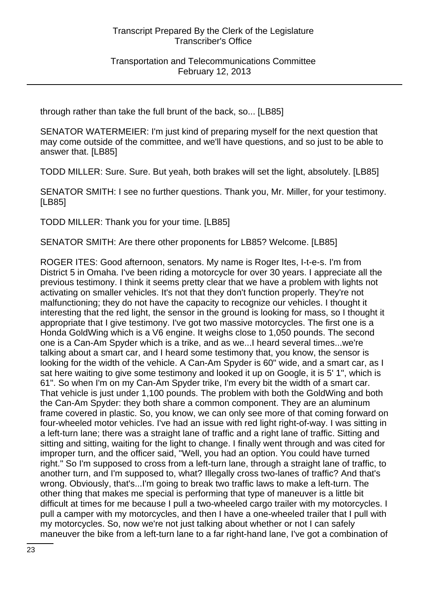through rather than take the full brunt of the back, so... [LB85]

SENATOR WATERMEIER: I'm just kind of preparing myself for the next question that may come outside of the committee, and we'll have questions, and so just to be able to answer that. [LB85]

TODD MILLER: Sure. Sure. But yeah, both brakes will set the light, absolutely. [LB85]

SENATOR SMITH: I see no further questions. Thank you, Mr. Miller, for your testimony. [LB85]

TODD MILLER: Thank you for your time. [LB85]

SENATOR SMITH: Are there other proponents for LB85? Welcome. [LB85]

ROGER ITES: Good afternoon, senators. My name is Roger Ites, I-t-e-s. I'm from District 5 in Omaha. I've been riding a motorcycle for over 30 years. I appreciate all the previous testimony. I think it seems pretty clear that we have a problem with lights not activating on smaller vehicles. It's not that they don't function properly. They're not malfunctioning; they do not have the capacity to recognize our vehicles. I thought it interesting that the red light, the sensor in the ground is looking for mass, so I thought it appropriate that I give testimony. I've got two massive motorcycles. The first one is a Honda GoldWing which is a V6 engine. It weighs close to 1,050 pounds. The second one is a Can-Am Spyder which is a trike, and as we...I heard several times...we're talking about a smart car, and I heard some testimony that, you know, the sensor is looking for the width of the vehicle. A Can-Am Spyder is 60" wide, and a smart car, as I sat here waiting to give some testimony and looked it up on Google, it is 5' 1", which is 61". So when I'm on my Can-Am Spyder trike, I'm every bit the width of a smart car. That vehicle is just under 1,100 pounds. The problem with both the GoldWing and both the Can-Am Spyder: they both share a common component. They are an aluminum frame covered in plastic. So, you know, we can only see more of that coming forward on four-wheeled motor vehicles. I've had an issue with red light right-of-way. I was sitting in a left-turn lane; there was a straight lane of traffic and a right lane of traffic. Sitting and sitting and sitting, waiting for the light to change. I finally went through and was cited for improper turn, and the officer said, "Well, you had an option. You could have turned right." So I'm supposed to cross from a left-turn lane, through a straight lane of traffic, to another turn, and I'm supposed to, what? Illegally cross two-lanes of traffic? And that's wrong. Obviously, that's...I'm going to break two traffic laws to make a left-turn. The other thing that makes me special is performing that type of maneuver is a little bit difficult at times for me because I pull a two-wheeled cargo trailer with my motorcycles. I pull a camper with my motorcycles, and then I have a one-wheeled trailer that I pull with my motorcycles. So, now we're not just talking about whether or not I can safely maneuver the bike from a left-turn lane to a far right-hand lane, I've got a combination of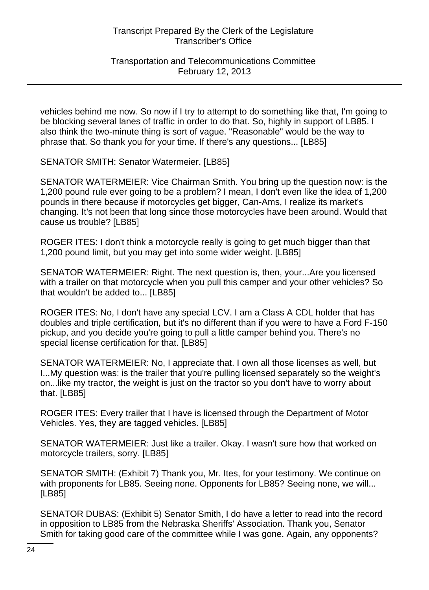Transportation and Telecommunications Committee February 12, 2013

vehicles behind me now. So now if I try to attempt to do something like that, I'm going to be blocking several lanes of traffic in order to do that. So, highly in support of LB85. I also think the two-minute thing is sort of vague. "Reasonable" would be the way to phrase that. So thank you for your time. If there's any questions... [LB85]

SENATOR SMITH: Senator Watermeier. [LB85]

SENATOR WATERMEIER: Vice Chairman Smith. You bring up the question now: is the 1,200 pound rule ever going to be a problem? I mean, I don't even like the idea of 1,200 pounds in there because if motorcycles get bigger, Can-Ams, I realize its market's changing. It's not been that long since those motorcycles have been around. Would that cause us trouble? [LB85]

ROGER ITES: I don't think a motorcycle really is going to get much bigger than that 1,200 pound limit, but you may get into some wider weight. [LB85]

SENATOR WATERMEIER: Right. The next question is, then, your...Are you licensed with a trailer on that motorcycle when you pull this camper and your other vehicles? So that wouldn't be added to... [LB85]

ROGER ITES: No, I don't have any special LCV. I am a Class A CDL holder that has doubles and triple certification, but it's no different than if you were to have a Ford F-150 pickup, and you decide you're going to pull a little camper behind you. There's no special license certification for that. [LB85]

SENATOR WATERMEIER: No, I appreciate that. I own all those licenses as well, but I...My question was: is the trailer that you're pulling licensed separately so the weight's on...like my tractor, the weight is just on the tractor so you don't have to worry about that. [LB85]

ROGER ITES: Every trailer that I have is licensed through the Department of Motor Vehicles. Yes, they are tagged vehicles. [LB85]

SENATOR WATERMEIER: Just like a trailer. Okay. I wasn't sure how that worked on motorcycle trailers, sorry. [LB85]

SENATOR SMITH: (Exhibit 7) Thank you, Mr. Ites, for your testimony. We continue on with proponents for LB85. Seeing none. Opponents for LB85? Seeing none, we will... [LB85]

SENATOR DUBAS: (Exhibit 5) Senator Smith, I do have a letter to read into the record in opposition to LB85 from the Nebraska Sheriffs' Association. Thank you, Senator Smith for taking good care of the committee while I was gone. Again, any opponents?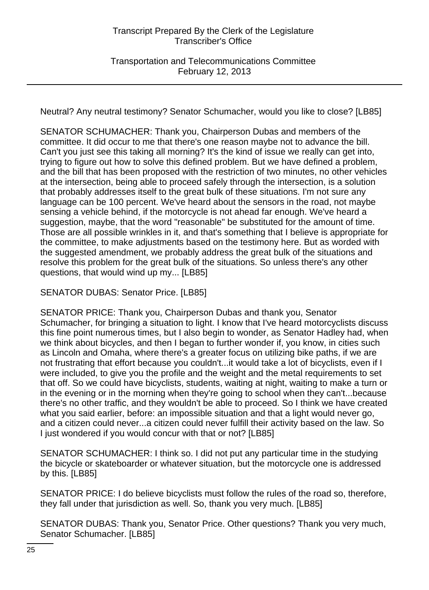Neutral? Any neutral testimony? Senator Schumacher, would you like to close? [LB85]

SENATOR SCHUMACHER: Thank you, Chairperson Dubas and members of the committee. It did occur to me that there's one reason maybe not to advance the bill. Can't you just see this taking all morning? It's the kind of issue we really can get into, trying to figure out how to solve this defined problem. But we have defined a problem, and the bill that has been proposed with the restriction of two minutes, no other vehicles at the intersection, being able to proceed safely through the intersection, is a solution that probably addresses itself to the great bulk of these situations. I'm not sure any language can be 100 percent. We've heard about the sensors in the road, not maybe sensing a vehicle behind, if the motorcycle is not ahead far enough. We've heard a suggestion, maybe, that the word "reasonable" be substituted for the amount of time. Those are all possible wrinkles in it, and that's something that I believe is appropriate for the committee, to make adjustments based on the testimony here. But as worded with the suggested amendment, we probably address the great bulk of the situations and resolve this problem for the great bulk of the situations. So unless there's any other questions, that would wind up my... [LB85]

SENATOR DUBAS: Senator Price. [LB85]

SENATOR PRICE: Thank you, Chairperson Dubas and thank you, Senator Schumacher, for bringing a situation to light. I know that I've heard motorcyclists discuss this fine point numerous times, but I also begin to wonder, as Senator Hadley had, when we think about bicycles, and then I began to further wonder if, you know, in cities such as Lincoln and Omaha, where there's a greater focus on utilizing bike paths, if we are not frustrating that effort because you couldn't...it would take a lot of bicyclists, even if I were included, to give you the profile and the weight and the metal requirements to set that off. So we could have bicyclists, students, waiting at night, waiting to make a turn or in the evening or in the morning when they're going to school when they can't...because there's no other traffic, and they wouldn't be able to proceed. So I think we have created what you said earlier, before: an impossible situation and that a light would never go, and a citizen could never...a citizen could never fulfill their activity based on the law. So I just wondered if you would concur with that or not? [LB85]

SENATOR SCHUMACHER: I think so. I did not put any particular time in the studying the bicycle or skateboarder or whatever situation, but the motorcycle one is addressed by this. [LB85]

SENATOR PRICE: I do believe bicyclists must follow the rules of the road so, therefore, they fall under that jurisdiction as well. So, thank you very much. [LB85]

SENATOR DUBAS: Thank you, Senator Price. Other questions? Thank you very much, Senator Schumacher. [LB85]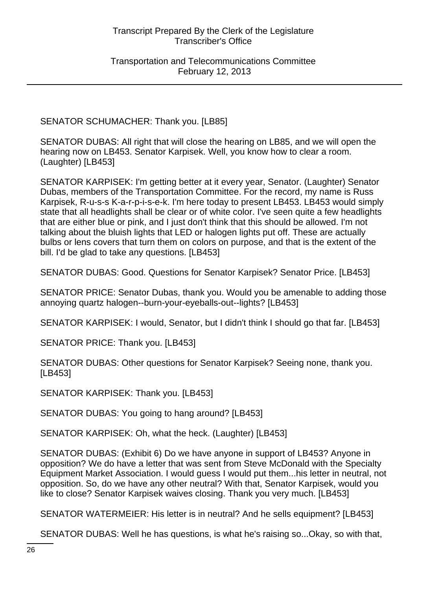SENATOR SCHUMACHER: Thank you. [LB85]

SENATOR DUBAS: All right that will close the hearing on LB85, and we will open the hearing now on LB453. Senator Karpisek. Well, you know how to clear a room. (Laughter) [LB453]

SENATOR KARPISEK: I'm getting better at it every year, Senator. (Laughter) Senator Dubas, members of the Transportation Committee. For the record, my name is Russ Karpisek, R-u-s-s K-a-r-p-i-s-e-k. I'm here today to present LB453. LB453 would simply state that all headlights shall be clear or of white color. I've seen quite a few headlights that are either blue or pink, and I just don't think that this should be allowed. I'm not talking about the bluish lights that LED or halogen lights put off. These are actually bulbs or lens covers that turn them on colors on purpose, and that is the extent of the bill. I'd be glad to take any questions. [LB453]

SENATOR DUBAS: Good. Questions for Senator Karpisek? Senator Price. [LB453]

SENATOR PRICE: Senator Dubas, thank you. Would you be amenable to adding those annoying quartz halogen--burn-your-eyeballs-out--lights? [LB453]

SENATOR KARPISEK: I would, Senator, but I didn't think I should go that far. [LB453]

SENATOR PRICE: Thank you. [LB453]

SENATOR DUBAS: Other questions for Senator Karpisek? Seeing none, thank you. [LB453]

SENATOR KARPISEK: Thank you. [LB453]

SENATOR DUBAS: You going to hang around? [LB453]

SENATOR KARPISEK: Oh, what the heck. (Laughter) [LB453]

SENATOR DUBAS: (Exhibit 6) Do we have anyone in support of LB453? Anyone in opposition? We do have a letter that was sent from Steve McDonald with the Specialty Equipment Market Association. I would guess I would put them...his letter in neutral, not opposition. So, do we have any other neutral? With that, Senator Karpisek, would you like to close? Senator Karpisek waives closing. Thank you very much. [LB453]

SENATOR WATERMEIER: His letter is in neutral? And he sells equipment? [LB453]

SENATOR DUBAS: Well he has questions, is what he's raising so...Okay, so with that,